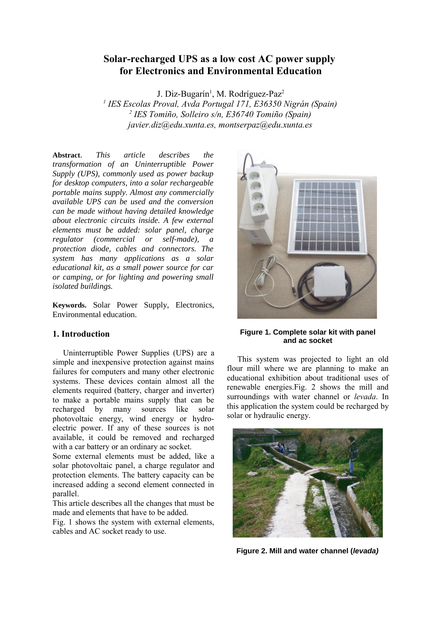# **Solar-recharged UPS as a low cost AC power supply for Electronics and Environmental Education**

J. Diz-Bugarín<sup>1</sup>, M. Rodríguez-Paz<sup>2</sup>

*1 IES Escolas Proval, Avda Portugal 171, E36350 Nigrán (Spain) 2 IES Tomiño, Solleiro s/n, E36740 Tomiño (Spain) javier.diz@edu.xunta.es, montserpaz@edu.xunta.es*

**Abstract**. *This article describes the transformation of an Uninterruptible Power Supply (UPS), commonly used as power backup for desktop computers, into a solar rechargeable portable mains supply. Almost any commercially available UPS can be used and the conversion can be made without having detailed knowledge about electronic circuits inside. A few external elements must be added: solar panel, charge regulator (commercial or self-made), a protection diode, cables and connectors. The system has many applications as a solar educational kit, as a small power source for car or camping, or for lighting and powering small isolated buildings.* 

**Keywords.** Solar Power Supply, Electronics, Environmental education.

## **1. Introduction**

Uninterruptible Power Supplies (UPS) are a simple and inexpensive protection against mains failures for computers and many other electronic systems. These devices contain almost all the elements required (battery, charger and inverter) to make a portable mains supply that can be recharged by many sources like solar photovoltaic energy, wind energy or hydroelectric power. If any of these sources is not available, it could be removed and recharged with a car battery or an ordinary ac socket.

Some external elements must be added, like a solar photovoltaic panel, a charge regulator and protection elements. The battery capacity can be increased adding a second element connected in parallel.

This article describes all the changes that must be made and elements that have to be added.

Fig. 1 shows the system with external elements, cables and AC socket ready to use.



**Figure 1. Complete solar kit with panel and ac socket**

This system was projected to light an old flour mill where we are planning to make an educational exhibition about traditional uses of renewable energies.Fig. 2 shows the mill and surroundings with water channel or *levada*. In this application the system could be recharged by solar or hydraulic energy.



**Figure 2. Mill and water channel (levada)**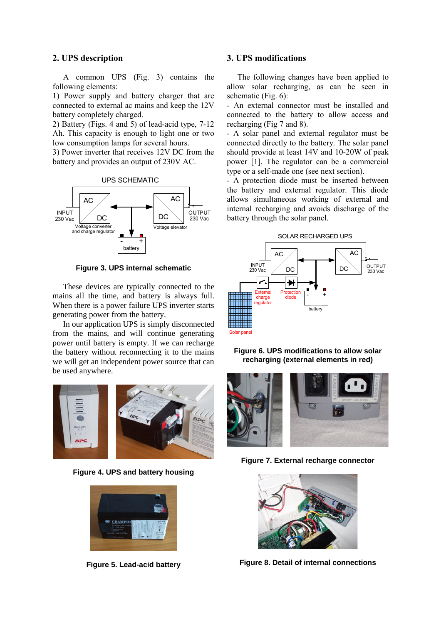# **2. UPS description**

A common UPS (Fig. 3) contains the following elements:

1) Power supply and battery charger that are connected to external ac mains and keep the 12V battery completely charged.

2) Battery (Figs. 4 and 5) of lead-acid type, 7-12 Ah. This capacity is enough to light one or two low consumption lamps for several hours.

3) Power inverter that receives 12V DC from the battery and provides an output of 230V AC.





**Figure 3. UPS internal schematic**

These devices are typically connected to the mains all the time, and battery is always full. When there is a power failure UPS inverter starts generating power from the battery.

In our application UPS is simply disconnected from the mains, and will continue generating power until battery is empty. If we can recharge the battery without reconnecting it to the mains we will get an independent power source that can be used anywhere.



**Figure 4. UPS and battery housing**



**Figure 5. Lead-acid battery**

### **3. UPS modifications**

The following changes have been applied to allow solar recharging, as can be seen in schematic (Fig.  $6$ ).

- An external connector must be installed and connected to the battery to allow access and recharging (Fig 7 and 8).

- A solar panel and external regulator must be connected directly to the battery. The solar panel should provide at least 14V and 10-20W of peak power [1]. The regulator can be a commercial type or a self-made one (see next section).

- A protection diode must be inserted between the battery and external regulator. This diode allows simultaneous working of external and internal recharging and avoids discharge of the battery through the solar panel.









**Figure 7. External recharge connector**



**Figure 8. Detail of internal connections**